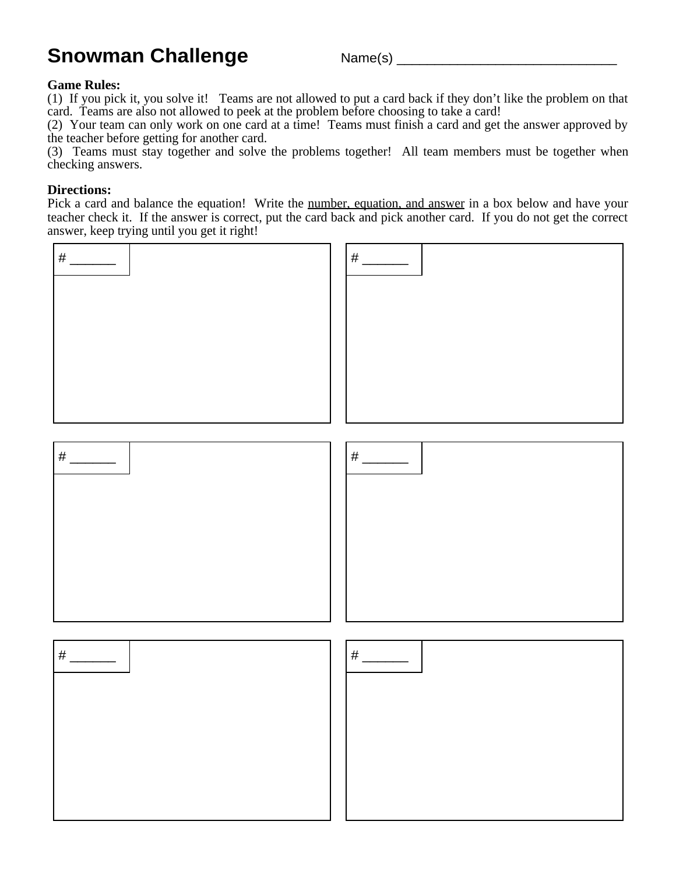# **Snowman Challenge** Name(s) \_\_\_\_\_\_\_\_\_\_\_\_\_\_\_\_\_\_\_\_\_\_\_\_\_\_\_\_\_

#### **Game Rules:**

(1) If you pick it, you solve it! Teams are not allowed to put a card back if they don't like the problem on that card. Teams are also not allowed to peek at the problem before choosing to take a card!

(2) Your team can only work on one card at a time! Teams must finish a card and get the answer approved by the teacher before getting for another card.

(3) Teams must stay together and solve the problems together! All team members must be together when checking answers.

#### **Directions:**

Pick a card and balance the equation! Write the number, equation, and answer in a box below and have your teacher check it. If the answer is correct, put the card back and pick another card. If you do not get the correct answer, keep trying until you get it right!



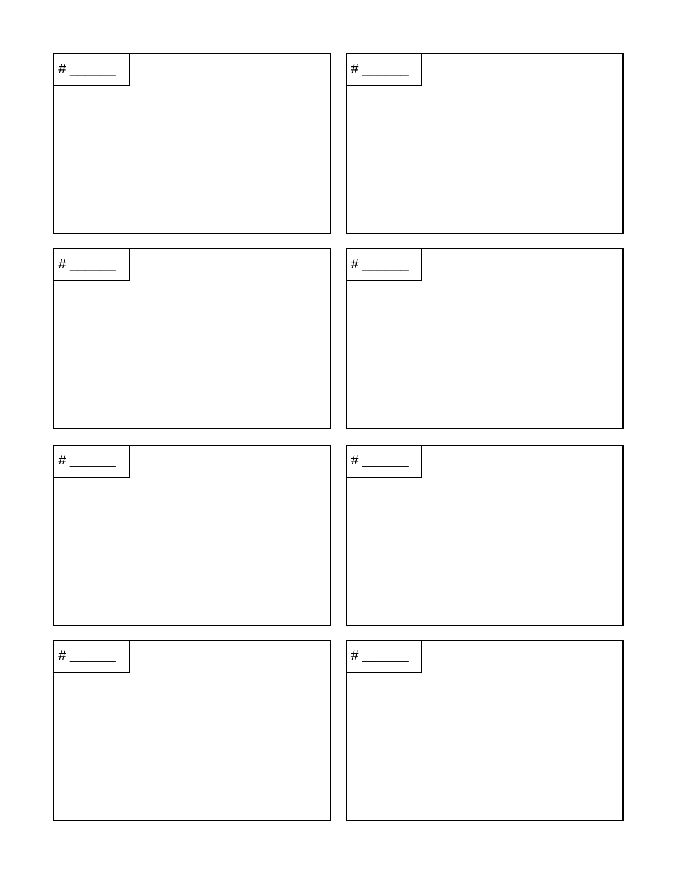